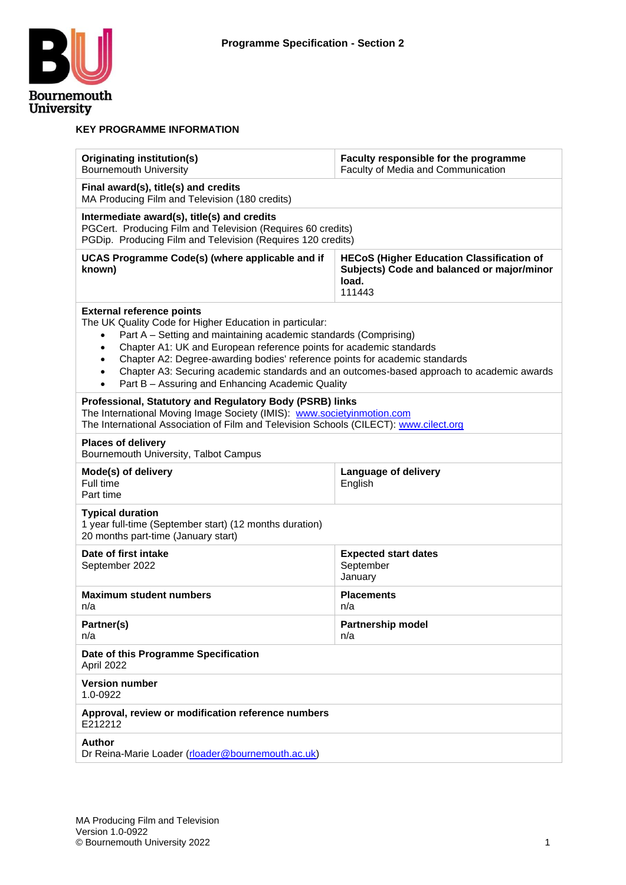

#### **KEY PROGRAMME INFORMATION**

| Originating institution(s)<br><b>Bournemouth University</b>                                                                                                                                                                                                                                                                                                                                                      | Faculty responsible for the programme<br>Faculty of Media and Communication                                       |  |  |  |  |  |  |  |  |
|------------------------------------------------------------------------------------------------------------------------------------------------------------------------------------------------------------------------------------------------------------------------------------------------------------------------------------------------------------------------------------------------------------------|-------------------------------------------------------------------------------------------------------------------|--|--|--|--|--|--|--|--|
| Final award(s), title(s) and credits<br>MA Producing Film and Television (180 credits)                                                                                                                                                                                                                                                                                                                           |                                                                                                                   |  |  |  |  |  |  |  |  |
| Intermediate award(s), title(s) and credits<br>PGCert. Producing Film and Television (Requires 60 credits)<br>PGDip. Producing Film and Television (Requires 120 credits)                                                                                                                                                                                                                                        |                                                                                                                   |  |  |  |  |  |  |  |  |
| UCAS Programme Code(s) (where applicable and if<br>known)                                                                                                                                                                                                                                                                                                                                                        | <b>HECoS (Higher Education Classification of</b><br>Subjects) Code and balanced or major/minor<br>load.<br>111443 |  |  |  |  |  |  |  |  |
| <b>External reference points</b><br>The UK Quality Code for Higher Education in particular:<br>Part A - Setting and maintaining academic standards (Comprising)<br>Chapter A1: UK and European reference points for academic standards<br>$\bullet$<br>Chapter A2: Degree-awarding bodies' reference points for academic standards<br>$\bullet$<br>Part B - Assuring and Enhancing Academic Quality<br>$\bullet$ | Chapter A3: Securing academic standards and an outcomes-based approach to academic awards                         |  |  |  |  |  |  |  |  |
| Professional, Statutory and Regulatory Body (PSRB) links<br>The International Moving Image Society (IMIS): www.societyinmotion.com<br>The International Association of Film and Television Schools (CILECT): www.cilect.org                                                                                                                                                                                      |                                                                                                                   |  |  |  |  |  |  |  |  |
| <b>Places of delivery</b><br>Bournemouth University, Talbot Campus                                                                                                                                                                                                                                                                                                                                               |                                                                                                                   |  |  |  |  |  |  |  |  |
| Mode(s) of delivery<br>Full time<br>Part time                                                                                                                                                                                                                                                                                                                                                                    | Language of delivery<br>English                                                                                   |  |  |  |  |  |  |  |  |
| <b>Typical duration</b><br>1 year full-time (September start) (12 months duration)<br>20 months part-time (January start)                                                                                                                                                                                                                                                                                        |                                                                                                                   |  |  |  |  |  |  |  |  |
| Date of first intake<br>September 2022                                                                                                                                                                                                                                                                                                                                                                           | <b>Expected start dates</b><br>September<br>January                                                               |  |  |  |  |  |  |  |  |
| <b>Maximum student numbers</b><br>n/a                                                                                                                                                                                                                                                                                                                                                                            | <b>Placements</b><br>n/a                                                                                          |  |  |  |  |  |  |  |  |
| Partner(s)<br>n/a                                                                                                                                                                                                                                                                                                                                                                                                | <b>Partnership model</b><br>n/a                                                                                   |  |  |  |  |  |  |  |  |
| Date of this Programme Specification<br>April 2022                                                                                                                                                                                                                                                                                                                                                               |                                                                                                                   |  |  |  |  |  |  |  |  |
| <b>Version number</b><br>1.0-0922                                                                                                                                                                                                                                                                                                                                                                                |                                                                                                                   |  |  |  |  |  |  |  |  |
| Approval, review or modification reference numbers<br>E212212                                                                                                                                                                                                                                                                                                                                                    |                                                                                                                   |  |  |  |  |  |  |  |  |
| <b>Author</b><br>Dr Reina-Marie Loader (rloader@bournemouth.ac.uk)                                                                                                                                                                                                                                                                                                                                               |                                                                                                                   |  |  |  |  |  |  |  |  |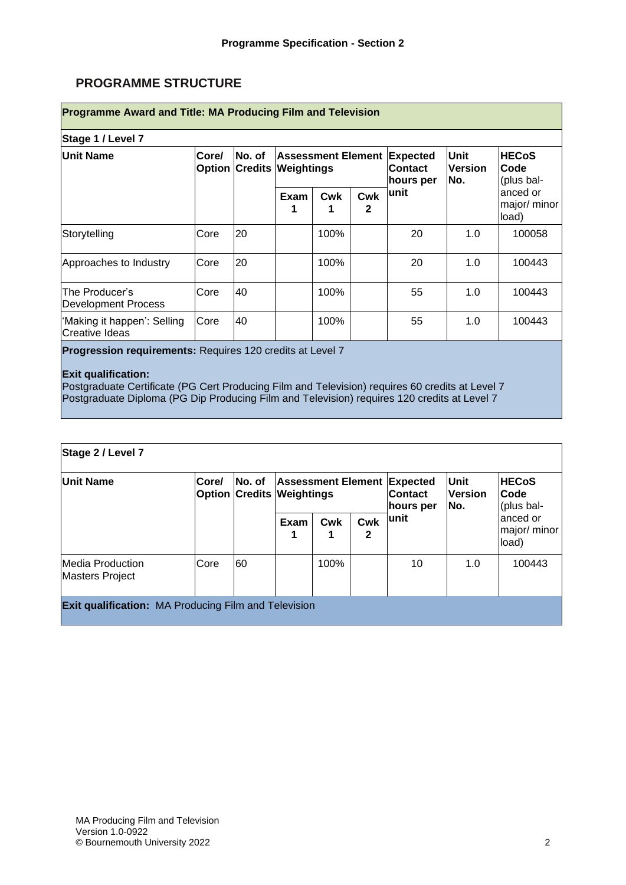# **PROGRAMME STRUCTURE**

| Stage 1 / Level 7                             |       |                                            |      |                           |                     |                                                |                               |                                    |  |  |  |  |
|-----------------------------------------------|-------|--------------------------------------------|------|---------------------------|---------------------|------------------------------------------------|-------------------------------|------------------------------------|--|--|--|--|
| Unit Name                                     | Core/ | No. of<br><b>Option Credits Weightings</b> |      | <b>Assessment Element</b> |                     | <b>Expected</b><br><b>Contact</b><br>hours per | Unit<br><b>Version</b><br>No. | <b>HECoS</b><br>Code<br>(plus bal- |  |  |  |  |
|                                               |       |                                            | Exam | <b>Cwk</b>                | Cwk<br>$\mathbf{2}$ | lunit                                          |                               | anced or<br>major/ minor<br>load)  |  |  |  |  |
| Storytelling                                  | Core  | 20                                         |      | 100%                      |                     | 20                                             | 1.0                           | 100058                             |  |  |  |  |
| Approaches to Industry                        | Core  | 20                                         |      | 100%                      |                     | 20                                             | 1.0                           | 100443                             |  |  |  |  |
| The Producer's<br>Development Process         | Core  | 40                                         |      | 100%                      |                     | 55                                             | 1.0                           | 100443                             |  |  |  |  |
| 'Making it happen': Selling<br>Creative Ideas | Core  | 40                                         |      | 100%                      |                     | 55                                             | 1.0                           | 100443                             |  |  |  |  |

**Progression requirements:** Requires 120 credits at Level 7

#### **Exit qualification:**

Postgraduate Certificate (PG Cert Producing Film and Television) requires 60 credits at Level 7 Postgraduate Diploma (PG Dip Producing Film and Television) requires 120 credits at Level 7

| Stage 2 / Level 7                          |                                                             |        |      |                                                                                          |           |                                      |                                    |                                    |  |  |  |  |
|--------------------------------------------|-------------------------------------------------------------|--------|------|------------------------------------------------------------------------------------------|-----------|--------------------------------------|------------------------------------|------------------------------------|--|--|--|--|
| <b>Unit Name</b>                           | Core/                                                       | No. of |      | <b>Assessment Element Expected</b><br><b>Option Credits Weightings</b><br><b>Contact</b> | hours per | <b>Unit</b><br><b>Version</b><br>No. | <b>HECoS</b><br>Code<br>(plus bal- |                                    |  |  |  |  |
|                                            |                                                             |        | Exam | Cwk                                                                                      | Cwk<br>2  | lunit                                |                                    | lanced or<br>major/ minor<br>load) |  |  |  |  |
| Media Production<br><b>Masters Project</b> | Core                                                        | 60     |      | 100%                                                                                     |           | 10                                   | 1.0                                | 100443                             |  |  |  |  |
|                                            | <b>Exit qualification:</b> MA Producing Film and Television |        |      |                                                                                          |           |                                      |                                    |                                    |  |  |  |  |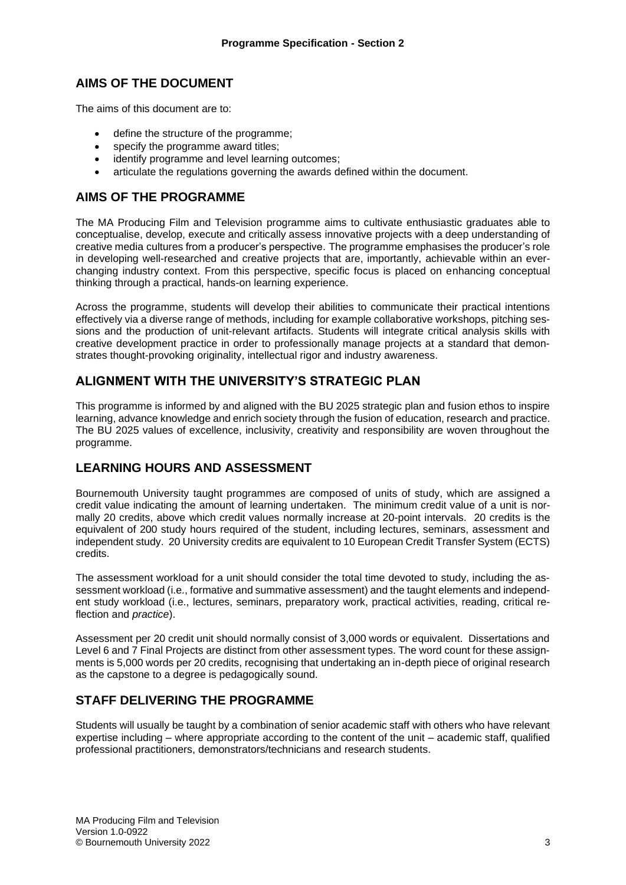### **AIMS OF THE DOCUMENT**

The aims of this document are to:

- define the structure of the programme;
- specify the programme award titles;
- identify programme and level learning outcomes:
- articulate the regulations governing the awards defined within the document.

#### **AIMS OF THE PROGRAMME**

The MA Producing Film and Television programme aims to cultivate enthusiastic graduates able to conceptualise, develop, execute and critically assess innovative projects with a deep understanding of creative media cultures from a producer's perspective. The programme emphasises the producer's role in developing well-researched and creative projects that are, importantly, achievable within an everchanging industry context. From this perspective, specific focus is placed on enhancing conceptual thinking through a practical, hands-on learning experience.

Across the programme, students will develop their abilities to communicate their practical intentions effectively via a diverse range of methods, including for example collaborative workshops, pitching sessions and the production of unit-relevant artifacts. Students will integrate critical analysis skills with creative development practice in order to professionally manage projects at a standard that demonstrates thought-provoking originality, intellectual rigor and industry awareness.

### **ALIGNMENT WITH THE UNIVERSITY'S STRATEGIC PLAN**

This programme is informed by and aligned with the BU 2025 strategic plan and fusion ethos to inspire learning, advance knowledge and enrich society through the fusion of education, research and practice. The BU 2025 values of excellence, inclusivity, creativity and responsibility are woven throughout the programme.

#### **LEARNING HOURS AND ASSESSMENT**

Bournemouth University taught programmes are composed of units of study, which are assigned a credit value indicating the amount of learning undertaken. The minimum credit value of a unit is normally 20 credits, above which credit values normally increase at 20-point intervals. 20 credits is the equivalent of 200 study hours required of the student, including lectures, seminars, assessment and independent study. 20 University credits are equivalent to 10 European Credit Transfer System (ECTS) credits.

The assessment workload for a unit should consider the total time devoted to study, including the assessment workload (i.e., formative and summative assessment) and the taught elements and independent study workload (i.e., lectures, seminars, preparatory work, practical activities, reading, critical reflection and *practice*).

Assessment per 20 credit unit should normally consist of 3,000 words or equivalent. Dissertations and Level 6 and 7 Final Projects are distinct from other assessment types. The word count for these assignments is 5,000 words per 20 credits, recognising that undertaking an in-depth piece of original research as the capstone to a degree is pedagogically sound.

#### **STAFF DELIVERING THE PROGRAMME**

Students will usually be taught by a combination of senior academic staff with others who have relevant expertise including – where appropriate according to the content of the unit – academic staff, qualified professional practitioners, demonstrators/technicians and research students.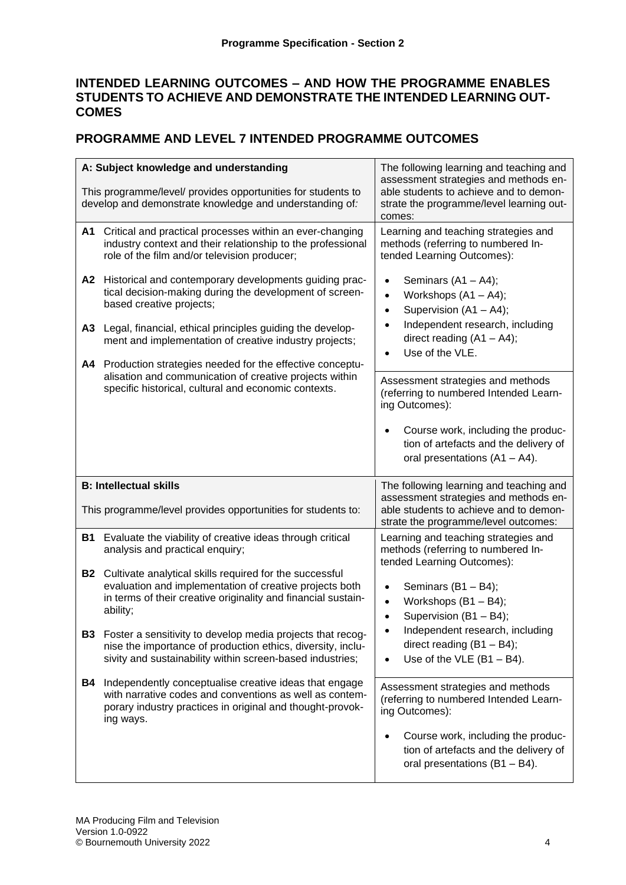## **INTENDED LEARNING OUTCOMES – AND HOW THE PROGRAMME ENABLES STUDENTS TO ACHIEVE AND DEMONSTRATE THE INTENDED LEARNING OUT-COMES**

## **PROGRAMME AND LEVEL 7 INTENDED PROGRAMME OUTCOMES**

|           | A: Subject knowledge and understanding<br>This programme/level/ provides opportunities for students to<br>develop and demonstrate knowledge and understanding of:                                         | The following learning and teaching and<br>assessment strategies and methods en-<br>able students to achieve and to demon-<br>strate the programme/level learning out-<br>comes: |  |  |  |  |  |  |  |
|-----------|-----------------------------------------------------------------------------------------------------------------------------------------------------------------------------------------------------------|----------------------------------------------------------------------------------------------------------------------------------------------------------------------------------|--|--|--|--|--|--|--|
| A1        | Critical and practical processes within an ever-changing<br>industry context and their relationship to the professional<br>role of the film and/or television producer;                                   | Learning and teaching strategies and<br>methods (referring to numbered In-<br>tended Learning Outcomes):                                                                         |  |  |  |  |  |  |  |
| A2        | Historical and contemporary developments guiding prac-<br>tical decision-making during the development of screen-<br>based creative projects;                                                             | Seminars $(A1 - A4)$ ;<br>Workshops $(A1 - A4)$ ;<br>$\bullet$<br>Supervision (A1 - A4);<br>$\bullet$                                                                            |  |  |  |  |  |  |  |
| A3<br>A4  | Legal, financial, ethical principles guiding the develop-<br>ment and implementation of creative industry projects;<br>Production strategies needed for the effective conceptu-                           | Independent research, including<br>direct reading $(A1 - A4)$ ;<br>Use of the VLE.<br>$\bullet$                                                                                  |  |  |  |  |  |  |  |
|           | alisation and communication of creative projects within<br>specific historical, cultural and economic contexts.                                                                                           | Assessment strategies and methods<br>(referring to numbered Intended Learn-<br>ing Outcomes):                                                                                    |  |  |  |  |  |  |  |
|           |                                                                                                                                                                                                           | Course work, including the produc-<br>tion of artefacts and the delivery of<br>oral presentations $(A1 - A4)$ .                                                                  |  |  |  |  |  |  |  |
|           |                                                                                                                                                                                                           |                                                                                                                                                                                  |  |  |  |  |  |  |  |
|           | <b>B: Intellectual skills</b>                                                                                                                                                                             | The following learning and teaching and                                                                                                                                          |  |  |  |  |  |  |  |
|           | This programme/level provides opportunities for students to:                                                                                                                                              | assessment strategies and methods en-<br>able students to achieve and to demon-<br>strate the programme/level outcomes:                                                          |  |  |  |  |  |  |  |
| <b>B1</b> | Evaluate the viability of creative ideas through critical<br>analysis and practical enquiry;                                                                                                              | Learning and teaching strategies and<br>methods (referring to numbered In-                                                                                                       |  |  |  |  |  |  |  |
|           | <b>B2</b> Cultivate analytical skills required for the successful<br>evaluation and implementation of creative projects both<br>in terms of their creative originality and financial sustain-<br>ability; | tended Learning Outcomes):<br>Seminars (B1 - B4);<br>Workshops (B1 - B4);<br>$\bullet$<br>Supervision (B1 - B4);<br>$\bullet$                                                    |  |  |  |  |  |  |  |
| <b>B3</b> | Foster a sensitivity to develop media projects that recog-<br>nise the importance of production ethics, diversity, inclu-<br>sivity and sustainability within screen-based industries;                    | Independent research, including<br>direct reading $(B1 - B4)$ ;<br>Use of the VLE $(B1 - B4)$ .<br>$\bullet$                                                                     |  |  |  |  |  |  |  |
| B4        | Independently conceptualise creative ideas that engage<br>with narrative codes and conventions as well as contem-<br>porary industry practices in original and thought-provok-<br>ing ways.               | Assessment strategies and methods<br>(referring to numbered Intended Learn-<br>ing Outcomes):                                                                                    |  |  |  |  |  |  |  |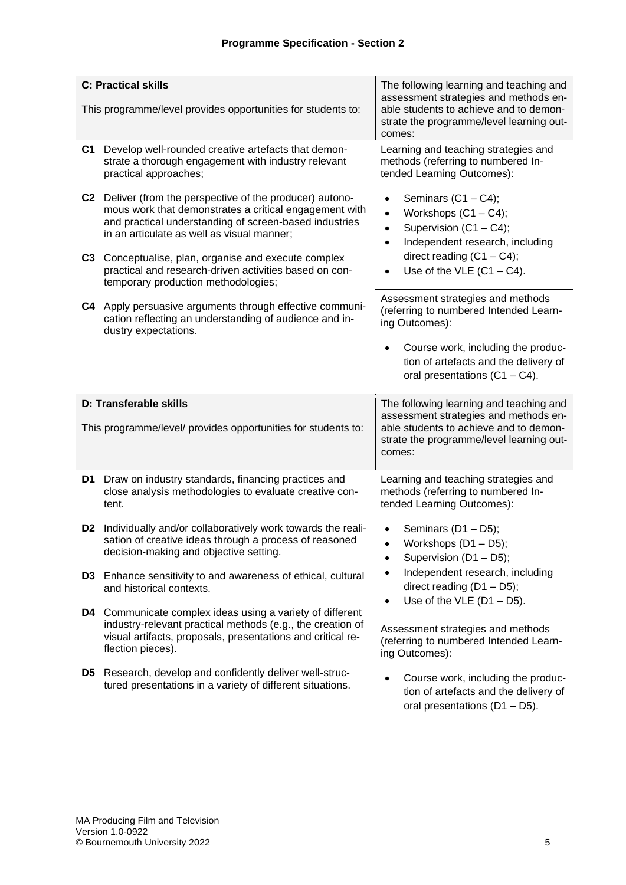|    | <b>C: Practical skills</b>                                                                                                                                                                                                                                                       | The following learning and teaching and                                                                                                                                                            |  |  |  |  |  |  |
|----|----------------------------------------------------------------------------------------------------------------------------------------------------------------------------------------------------------------------------------------------------------------------------------|----------------------------------------------------------------------------------------------------------------------------------------------------------------------------------------------------|--|--|--|--|--|--|
|    | This programme/level provides opportunities for students to:                                                                                                                                                                                                                     | assessment strategies and methods en-<br>able students to achieve and to demon-<br>strate the programme/level learning out-<br>comes:                                                              |  |  |  |  |  |  |
| C1 | Develop well-rounded creative artefacts that demon-<br>strate a thorough engagement with industry relevant<br>practical approaches;                                                                                                                                              | Learning and teaching strategies and<br>methods (referring to numbered In-<br>tended Learning Outcomes):                                                                                           |  |  |  |  |  |  |
| C3 | C2 Deliver (from the perspective of the producer) autono-<br>mous work that demonstrates a critical engagement with<br>and practical understanding of screen-based industries<br>in an articulate as well as visual manner;<br>Conceptualise, plan, organise and execute complex | Seminars $(C1 - C4)$ ;<br>$\bullet$<br>Workshops $(C1 - C4)$ ;<br>$\bullet$<br>Supervision (C1 - C4);<br>$\bullet$<br>Independent research, including<br>$\bullet$<br>direct reading $(C1 - C4)$ ; |  |  |  |  |  |  |
|    | practical and research-driven activities based on con-<br>temporary production methodologies;                                                                                                                                                                                    | Use of the VLE $(C1 - C4)$ .<br>$\bullet$                                                                                                                                                          |  |  |  |  |  |  |
| C4 | Apply persuasive arguments through effective communi-<br>cation reflecting an understanding of audience and in-<br>dustry expectations.                                                                                                                                          | Assessment strategies and methods<br>(referring to numbered Intended Learn-<br>ing Outcomes):                                                                                                      |  |  |  |  |  |  |
|    |                                                                                                                                                                                                                                                                                  | Course work, including the produc-<br>tion of artefacts and the delivery of<br>oral presentations $(C1 - C4)$ .                                                                                    |  |  |  |  |  |  |
|    | D: Transferable skills<br>This programme/level/ provides opportunities for students to:                                                                                                                                                                                          | The following learning and teaching and<br>assessment strategies and methods en-<br>able students to achieve and to demon-<br>strate the programme/level learning out-<br>comes:                   |  |  |  |  |  |  |
| D1 | Draw on industry standards, financing practices and<br>close analysis methodologies to evaluate creative con-<br>tent.                                                                                                                                                           | Learning and teaching strategies and<br>methods (referring to numbered In-<br>tended Learning Outcomes):                                                                                           |  |  |  |  |  |  |
|    | D2 Individually and/or collaboratively work towards the reali-<br>sation of creative ideas through a process of reasoned                                                                                                                                                         | Seminars $(D1 - D5)$ ;                                                                                                                                                                             |  |  |  |  |  |  |
|    | decision-making and objective setting.                                                                                                                                                                                                                                           | Workshops $(D1 - D5)$ ;<br>Supervision (D1 - D5);<br>$\bullet$                                                                                                                                     |  |  |  |  |  |  |
|    | D3 Enhance sensitivity to and awareness of ethical, cultural<br>and historical contexts.                                                                                                                                                                                         | Independent research, including<br>$\bullet$<br>direct reading $(D1 - D5)$ ;                                                                                                                       |  |  |  |  |  |  |
| D4 | Communicate complex ideas using a variety of different<br>industry-relevant practical methods (e.g., the creation of<br>visual artifacts, proposals, presentations and critical re-<br>flection pieces).                                                                         | Use of the VLE $(D1 - D5)$ .<br>$\bullet$<br>Assessment strategies and methods<br>(referring to numbered Intended Learn-<br>ing Outcomes):                                                         |  |  |  |  |  |  |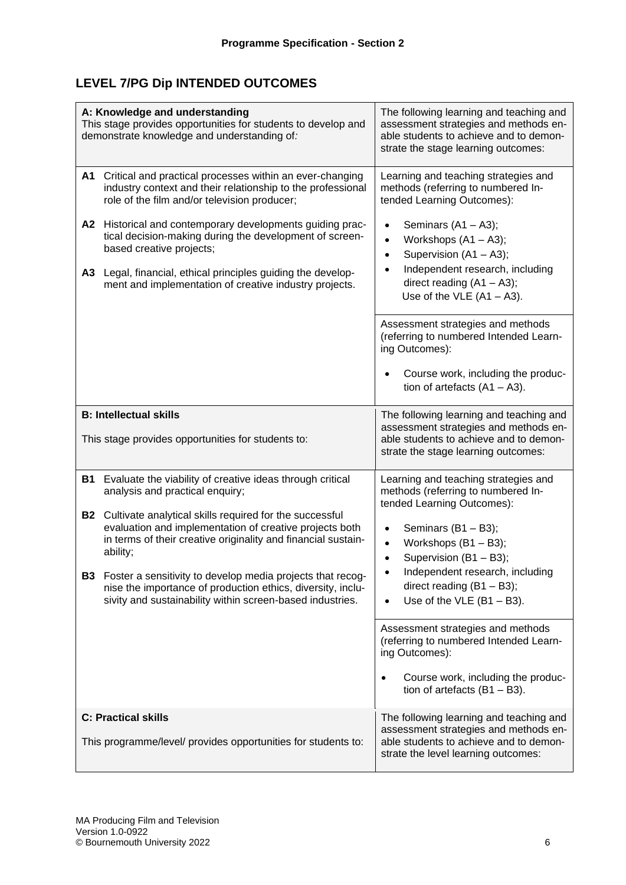# **LEVEL 7/PG Dip INTENDED OUTCOMES**

|                            | A: Knowledge and understanding<br>This stage provides opportunities for students to develop and<br>demonstrate knowledge and understanding of:                                                                                                                                                                                                                                                                                                                                                    | The following learning and teaching and<br>assessment strategies and methods en-<br>able students to achieve and to demon-<br>strate the stage learning outcomes:                                                                                                                                             |  |  |  |  |  |  |
|----------------------------|---------------------------------------------------------------------------------------------------------------------------------------------------------------------------------------------------------------------------------------------------------------------------------------------------------------------------------------------------------------------------------------------------------------------------------------------------------------------------------------------------|---------------------------------------------------------------------------------------------------------------------------------------------------------------------------------------------------------------------------------------------------------------------------------------------------------------|--|--|--|--|--|--|
| A1<br>A3                   | Critical and practical processes within an ever-changing<br>industry context and their relationship to the professional<br>role of the film and/or television producer;<br>A2 Historical and contemporary developments guiding prac-<br>tical decision-making during the development of screen-<br>based creative projects;<br>Legal, financial, ethical principles guiding the develop-<br>ment and implementation of creative industry projects.                                                | Learning and teaching strategies and<br>methods (referring to numbered In-<br>tended Learning Outcomes):<br>Seminars $(A1 - A3)$ ;<br>Workshops $(A1 - A3)$ ;<br>Supervision (A1 - A3);<br>$\bullet$<br>Independent research, including<br>direct reading $(A1 - A3)$ ;<br>Use of the VLE $(A1 - A3)$ .       |  |  |  |  |  |  |
|                            |                                                                                                                                                                                                                                                                                                                                                                                                                                                                                                   | Assessment strategies and methods<br>(referring to numbered Intended Learn-<br>ing Outcomes):<br>Course work, including the produc-<br>tion of artefacts $(A1 - A3)$ .                                                                                                                                        |  |  |  |  |  |  |
|                            | <b>B: Intellectual skills</b><br>This stage provides opportunities for students to:                                                                                                                                                                                                                                                                                                                                                                                                               | The following learning and teaching and<br>assessment strategies and methods en-<br>able students to achieve and to demon-<br>strate the stage learning outcomes:                                                                                                                                             |  |  |  |  |  |  |
| <b>B1</b><br>ability;      | Evaluate the viability of creative ideas through critical<br>analysis and practical enquiry;<br><b>B2</b> Cultivate analytical skills required for the successful<br>evaluation and implementation of creative projects both<br>in terms of their creative originality and financial sustain-<br><b>B3</b> Foster a sensitivity to develop media projects that recog-<br>nise the importance of production ethics, diversity, inclu-<br>sivity and sustainability within screen-based industries. | Learning and teaching strategies and<br>methods (referring to numbered In-<br>tended Learning Outcomes):<br>Seminars (B1 - B3);<br>Workshops (B1 - B3);<br>Supervision (B1 - B3);<br>$\bullet$<br>Independent research, including<br>direct reading $(B1 - B3)$ ;<br>Use of the $VLE$ (B1 - B3).<br>$\bullet$ |  |  |  |  |  |  |
|                            |                                                                                                                                                                                                                                                                                                                                                                                                                                                                                                   | Assessment strategies and methods<br>(referring to numbered Intended Learn-<br>ing Outcomes):<br>Course work, including the produc-<br>$\bullet$<br>tion of artefacts $(B1 - B3)$ .                                                                                                                           |  |  |  |  |  |  |
| <b>C: Practical skills</b> | This programme/level/ provides opportunities for students to:                                                                                                                                                                                                                                                                                                                                                                                                                                     | The following learning and teaching and<br>assessment strategies and methods en-<br>able students to achieve and to demon-<br>strate the level learning outcomes:                                                                                                                                             |  |  |  |  |  |  |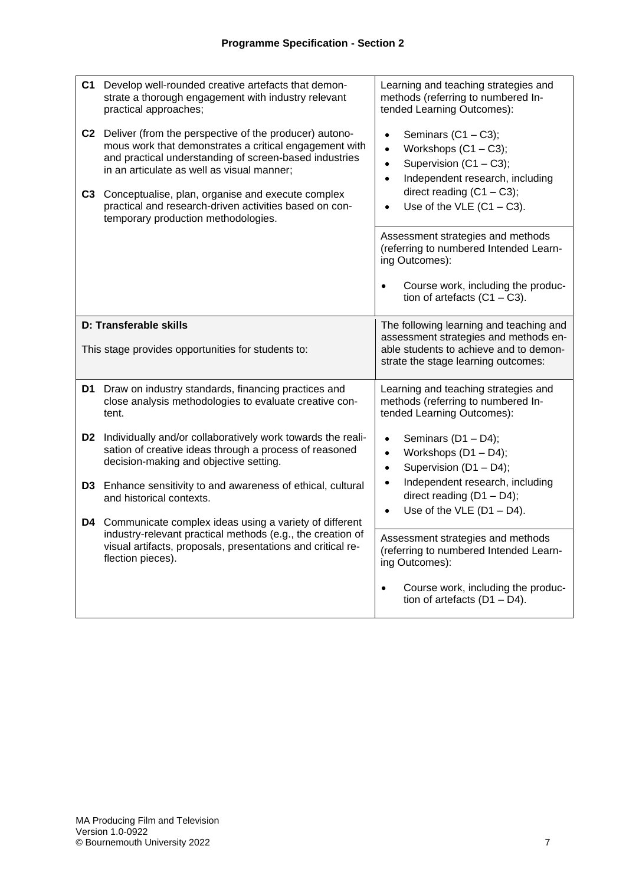| C <sub>3</sub> | C1 Develop well-rounded creative artefacts that demon-<br>strate a thorough engagement with industry relevant<br>practical approaches;<br>C2 Deliver (from the perspective of the producer) autono-<br>mous work that demonstrates a critical engagement with<br>and practical understanding of screen-based industries<br>in an articulate as well as visual manner;<br>Conceptualise, plan, organise and execute complex<br>practical and research-driven activities based on con-<br>temporary production methodologies. | Learning and teaching strategies and<br>methods (referring to numbered In-<br>tended Learning Outcomes):<br>Seminars $(C1 - C3)$ ;<br>Workshops $(C1 - C3)$ ;<br>$\bullet$<br>Supervision (C1 - C3);<br>$\bullet$<br>Independent research, including<br>$\bullet$<br>direct reading $(C1 - C3)$ ;<br>Use of the VLE $(C1 - C3)$ . |  |  |  |  |  |  |
|----------------|-----------------------------------------------------------------------------------------------------------------------------------------------------------------------------------------------------------------------------------------------------------------------------------------------------------------------------------------------------------------------------------------------------------------------------------------------------------------------------------------------------------------------------|-----------------------------------------------------------------------------------------------------------------------------------------------------------------------------------------------------------------------------------------------------------------------------------------------------------------------------------|--|--|--|--|--|--|
|                |                                                                                                                                                                                                                                                                                                                                                                                                                                                                                                                             | Assessment strategies and methods<br>(referring to numbered Intended Learn-<br>ing Outcomes):<br>Course work, including the produc-<br>$\bullet$<br>tion of artefacts $(C1 - C3)$ .                                                                                                                                               |  |  |  |  |  |  |
|                | D: Transferable skills<br>This stage provides opportunities for students to:                                                                                                                                                                                                                                                                                                                                                                                                                                                | The following learning and teaching and<br>assessment strategies and methods en-<br>able students to achieve and to demon-<br>strate the stage learning outcomes:                                                                                                                                                                 |  |  |  |  |  |  |
|                | D1 Draw on industry standards, financing practices and<br>close analysis methodologies to evaluate creative con-<br>tent.                                                                                                                                                                                                                                                                                                                                                                                                   | Learning and teaching strategies and<br>methods (referring to numbered In-<br>tended Learning Outcomes):                                                                                                                                                                                                                          |  |  |  |  |  |  |
|                | D2 Individually and/or collaboratively work towards the reali-<br>sation of creative ideas through a process of reasoned<br>decision-making and objective setting.                                                                                                                                                                                                                                                                                                                                                          | Seminars $(D1 - D4)$ ;<br>$\bullet$<br>Workshops $(D1 - D4)$ ;<br>$\bullet$<br>Supervision (D1 - D4);<br>$\bullet$                                                                                                                                                                                                                |  |  |  |  |  |  |
|                | D3 Enhance sensitivity to and awareness of ethical, cultural<br>and historical contexts.<br>D4 Communicate complex ideas using a variety of different                                                                                                                                                                                                                                                                                                                                                                       | Independent research, including<br>direct reading $(D1 - D4)$ ;<br>Use of the VLE $(D1 - D4)$ .<br>$\bullet$                                                                                                                                                                                                                      |  |  |  |  |  |  |
|                | industry-relevant practical methods (e.g., the creation of<br>visual artifacts, proposals, presentations and critical re-<br>flection pieces).                                                                                                                                                                                                                                                                                                                                                                              | Assessment strategies and methods<br>(referring to numbered Intended Learn-<br>ing Outcomes):                                                                                                                                                                                                                                     |  |  |  |  |  |  |
|                |                                                                                                                                                                                                                                                                                                                                                                                                                                                                                                                             | Course work, including the produc-<br>$\bullet$<br>tion of artefacts $(D1 - D4)$ .                                                                                                                                                                                                                                                |  |  |  |  |  |  |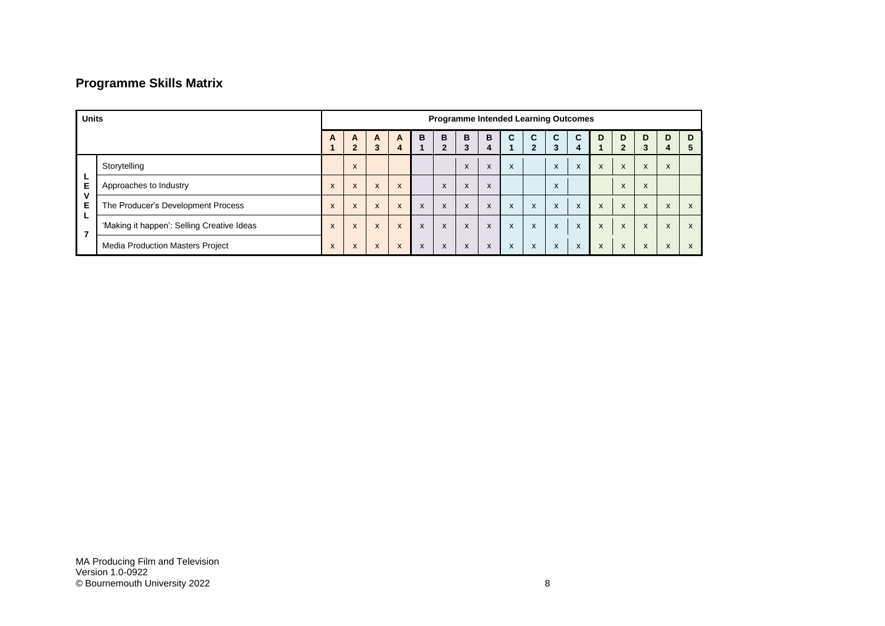# **Programme Skills Matrix**

| <b>Units</b>             |                                            | <b>Programme Intended Learning Outcomes</b> |                     |              |                           |   |                   |                           |              |   |                           |                           |        |                           |                     |              |                           |              |
|--------------------------|--------------------------------------------|---------------------------------------------|---------------------|--------------|---------------------------|---|-------------------|---------------------------|--------------|---|---------------------------|---------------------------|--------|---------------------------|---------------------|--------------|---------------------------|--------------|
|                          |                                            | A                                           | A<br>$\overline{2}$ | A<br>3       | A<br>4                    | B | B<br>$\mathbf{2}$ | B<br>3                    | B<br>4       | C | C<br>$\mathbf{2}$         | C.<br>3                   | C<br>4 | D                         | D<br>$\overline{2}$ | D<br>3       | D<br>4                    | D<br>h       |
|                          | Storytelling                               |                                             | X                   |              |                           |   |                   | $\lambda$                 | X            | X |                           | X                         | X      | X                         | X                   | $\mathsf{x}$ | X                         |              |
| Е                        | Approaches to Industry                     | X                                           | X                   | $\mathsf{x}$ | $\boldsymbol{\mathsf{x}}$ |   | $\mathsf{x}$      | $\boldsymbol{\mathsf{x}}$ | X            |   |                           | X                         |        |                           | X                   | X            |                           |              |
| v<br>Е                   | The Producer's Development Process         | X                                           | X                   | $\mathsf{x}$ | $\mathsf{X}$              | X | X                 | $\boldsymbol{\mathsf{x}}$ | $\mathsf{x}$ | X | $\boldsymbol{\mathsf{x}}$ | X                         | X      | $\boldsymbol{\mathsf{x}}$ | X                   | $\mathsf{x}$ | X                         | $\mathsf{x}$ |
| $\overline{\phantom{a}}$ | 'Making it happen': Selling Creative Ideas | $\boldsymbol{\mathsf{x}}$                   | X                   | $\mathsf{x}$ | $\boldsymbol{\mathsf{x}}$ | X | X                 | $\boldsymbol{\mathsf{x}}$ | X            | X | $\boldsymbol{\mathsf{x}}$ | $\boldsymbol{\mathsf{x}}$ | X      | X                         | $\mathsf{x}$        | $\mathsf{x}$ | X                         | $\mathsf{x}$ |
|                          | <b>Media Production Masters Project</b>    | X                                           | X                   | X            | X                         | X | X                 | X                         | X            | X | $\boldsymbol{\mathsf{x}}$ | X                         | X      | X                         | X                   | X            | $\mathbf{v}$<br>$\lambda$ | $\mathsf{x}$ |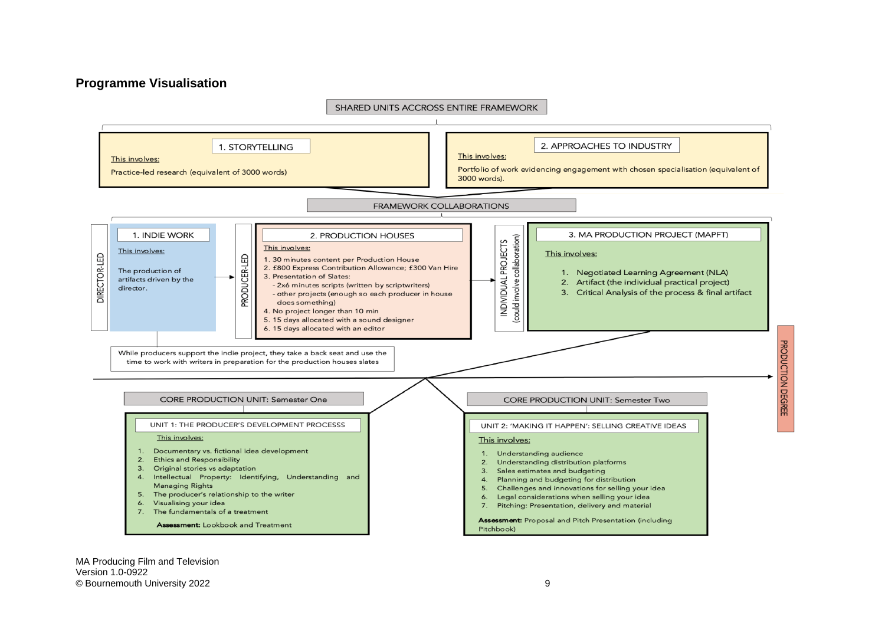#### **Programme Visualisation**



MA Producing Film and Television Version 1.0-0922 © Bournemouth University 2022 9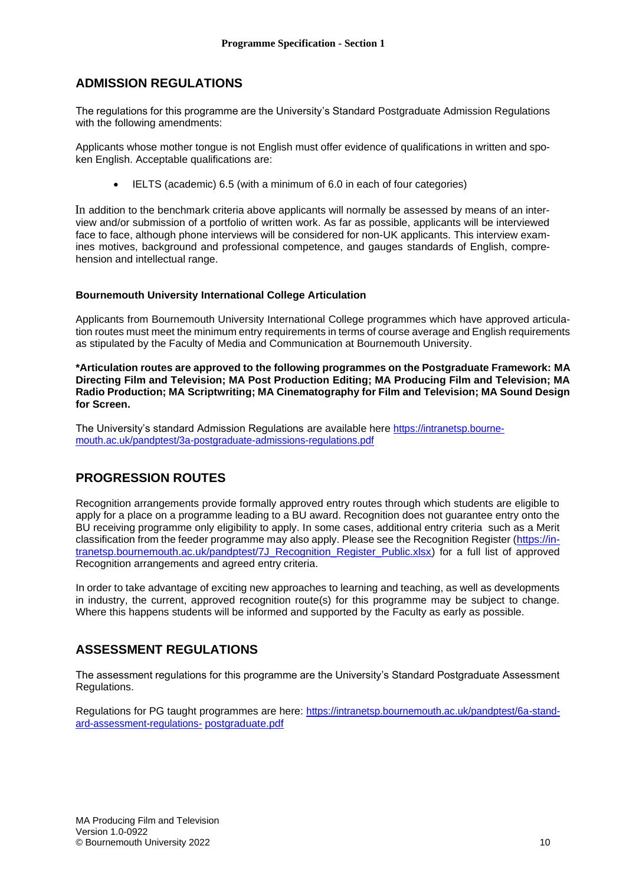### **ADMISSION REGULATIONS**

The regulations for this programme are the University's Standard Postgraduate Admission Regulations with the following amendments:

Applicants whose mother tongue is not English must offer evidence of qualifications in written and spoken English. Acceptable qualifications are:

• IELTS (academic) 6.5 (with a minimum of 6.0 in each of four categories)

In addition to the benchmark criteria above applicants will normally be assessed by means of an interview and/or submission of a portfolio of written work. As far as possible, applicants will be interviewed face to face, although phone interviews will be considered for non-UK applicants. This interview examines motives, background and professional competence, and gauges standards of English, comprehension and intellectual range.

#### **Bournemouth University International College Articulation**

Applicants from Bournemouth University International College programmes which have approved articulation routes must meet the minimum entry requirements in terms of course average and English requirements as stipulated by the Faculty of Media and Communication at Bournemouth University.

**\*Articulation routes are approved to the following programmes on the Postgraduate Framework: MA Directing Film and Television; MA Post Production Editing; MA Producing Film and Television; MA Radio Production; MA Scriptwriting; MA Cinematography for Film and Television; MA Sound Design for Screen.**

The University's standard Admission Regulations are available here [https://intranetsp.bourne](https://intranetsp.bournemouth.ac.uk/pandptest/3a-postgraduate-admissions-regulations.pdf)[mouth.ac.uk/pandptest/3a-postgraduate-admissions-regulations.pdf](https://intranetsp.bournemouth.ac.uk/pandptest/3a-postgraduate-admissions-regulations.pdf)

## **PROGRESSION ROUTES**

Recognition arrangements provide formally approved entry routes through which students are eligible to apply for a place on a programme leading to a BU award. Recognition does not guarantee entry onto the BU receiving programme only eligibility to apply. In some cases, additional entry criteria such as a Merit classification from the feeder programme may also apply. Please see the Recognition Register [\(https://in](https://intranetsp.bournemouth.ac.uk/pandptest/7J_Recognition_Register_Public.xlsx)[tranetsp.bournemouth.ac.uk/pandptest/7J\\_Recognition\\_Register\\_Public.xlsx\)](https://intranetsp.bournemouth.ac.uk/pandptest/7J_Recognition_Register_Public.xlsx) for a full list of approved Recognition arrangements and agreed entry criteria.

In order to take advantage of exciting new approaches to learning and teaching, as well as developments in industry, the current, approved recognition route(s) for this programme may be subject to change. Where this happens students will be informed and supported by the Faculty as early as possible.

## **ASSESSMENT REGULATIONS**

The assessment regulations for this programme are the University's Standard Postgraduate Assessment Regulations.

Regulations for PG taught programmes are here: [https://intranetsp.bournemouth.ac.uk/pandptest/6a-stand](https://intranetsp.bournemouth.ac.uk/pandptest/6a-standard-assessment-regulations-postgraduate.pdf)[ard-assessment-regulations-](https://intranetsp.bournemouth.ac.uk/pandptest/6a-standard-assessment-regulations-postgraduate.pdf) [postgraduate.pdf](https://intranetsp.bournemouth.ac.uk/pandptest/6a-standard-assessment-regulations-postgraduate.pdf)